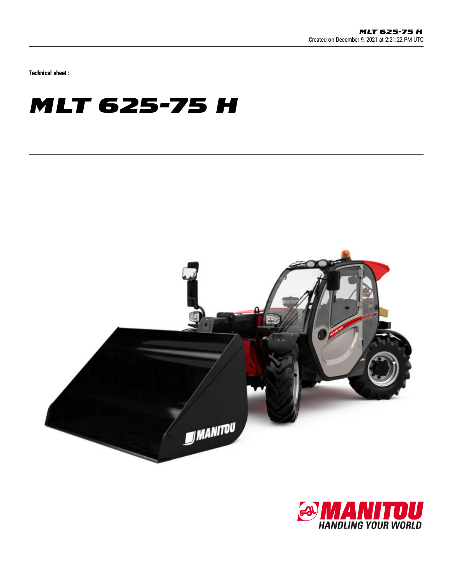Technical sheet :

## **MLT 625-75 H**



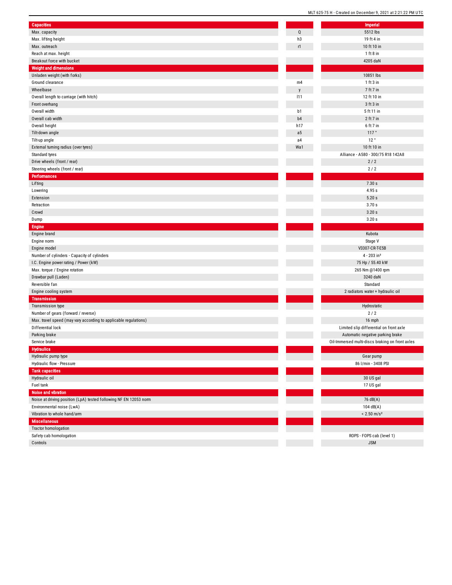| <b>Capacities</b>                                                 |                | Imperial                                |
|-------------------------------------------------------------------|----------------|-----------------------------------------|
| Max. capacity                                                     | Q              | 5512 lbs                                |
| Max. lifting height                                               | h3             | 19 ft 4 in                              |
| Max. outreach                                                     | r1             | 10 ft 10 in                             |
| Reach at max. height                                              |                | $1$ ft 8 in                             |
| Breakout force with bucket                                        |                | 4205 daN                                |
| <b>Weight and dimensions</b>                                      |                |                                         |
| Unladen weight (with forks)                                       |                | 10851 lbs                               |
| Ground clearance                                                  | m4             | $1$ ft $3$ in                           |
| Wheelbase                                                         | y              | 7 ft 7 in                               |
| Overall length to carriage (with hitch)                           | 111            | 12 ft 10 in                             |
| Front overhang                                                    |                | 3 ft 3 in                               |
| Overall width                                                     | b1             | 5 ft 11 in                              |
| Overall cab width                                                 | b4             | 2 ft 7 in                               |
| Overall height                                                    | h17            | 6 ft 7 in                               |
| Tilt-down angle                                                   | a <sub>5</sub> | 117°                                    |
| Tilt-up angle                                                     | a4             | 12°                                     |
| External turning radius (over tyres)                              | Wa1            | 10 ft 10 in                             |
| Standard tyres                                                    |                | Alliance - A580 - 300/75 R18 142.       |
| Drive wheels (front / rear)                                       |                | 2/2                                     |
| Steering wheels (front / rear)                                    |                | 2/2                                     |
| Performances                                                      |                |                                         |
| Lifting                                                           |                | 7.30 s                                  |
| Lowering                                                          |                | 4.95s                                   |
| Extension                                                         |                | 5.20s                                   |
| Retraction                                                        |                | 3.70s                                   |
| Crowd                                                             |                | 3.20s                                   |
| Dump                                                              |                | 3.20s                                   |
| <b>Engine</b>                                                     |                |                                         |
| Engine brand                                                      |                | Kubota                                  |
| Engine norm                                                       |                | Stage V                                 |
| Engine model                                                      |                | V3307-CR-T-E5B                          |
| Number of cylinders - Capacity of cylinders                       |                | $4 - 203$ in <sup>3</sup>               |
| I.C. Engine power rating / Power (kW)                             |                | 75 Hp / 55.40 kW                        |
| Max. torque / Engine rotation                                     |                | 265 Nm @1400 rpm                        |
| Drawbar pull (Laden)                                              |                | 3240 daN                                |
| Reversible fan                                                    |                | Standard                                |
| Engine cooling system                                             |                | 2 radiators water + hydraulic oil       |
| <b>Transmission</b>                                               |                |                                         |
| Transmission type                                                 |                | Hydrostatic                             |
| Number of gears (forward / reverse)                               |                | 2/2                                     |
| Max. travel speed (may vary according to applicable regulations)  |                | 16 mph                                  |
| Differential lock                                                 |                | Limited slip differential on front a    |
| Parking brake                                                     |                | Automatic negative parking brak         |
| Service brake                                                     |                | Oil-Immersed multi-discs braking on fro |
| Hydraulics                                                        |                |                                         |
| Hydraulic pump type                                               |                | Gear pump                               |
| Hydraulic flow - Pressure                                         |                | 86 l/min - 3408 PSI                     |
| <b>Tank capacities</b>                                            |                |                                         |
| Hydraulic oil                                                     |                | 30 US gal                               |
| Fuel tank                                                         |                | 17 US gal                               |
| Noise and vibration                                               |                |                                         |
| Noise at driving position (LpA) tested following NF EN 12053 norm |                | 76 dB(A)                                |
| Environmental noise (LwA)                                         |                | 104 $dB(A)$                             |
| Vibration to whole hand/arm                                       |                | $< 2.50$ m/s <sup>2</sup>               |
| <b>Miscellaneous</b>                                              |                |                                         |
| <b>Tractor homologation</b>                                       |                |                                         |
| Safety cab homologation                                           |                | ROPS - FOPS cab (level 1)               |
| Controls                                                          |                | <b>JSM</b>                              |
|                                                                   |                |                                         |

|                | <b>Imperial</b>                                 |
|----------------|-------------------------------------------------|
| Q              | 5512 lbs                                        |
| h3             | 19 ft 4 in                                      |
| r1             | 10 ft 10 in                                     |
|                | $1$ ft $8$ in                                   |
|                | 4205 daN                                        |
|                |                                                 |
|                | 10851 lbs                                       |
| m4             | 1 ft 3 in                                       |
| y              | 7 ft 7 in                                       |
| 111            | 12 ft 10 in                                     |
|                | 3 ft 3 in                                       |
| b1             | 5 ft 11 in                                      |
| b <sub>4</sub> | $2$ ft $7$ in                                   |
| h17            | 6 ft 7 in                                       |
| a5             | 117°                                            |
| a4             | 12°                                             |
| Wa1            | 10 ft 10 in                                     |
|                | Alliance - A580 - 300/75 R18 142A8              |
|                | 2/2                                             |
|                | 2/2                                             |
|                | 7.30 s                                          |
|                | 4.95s                                           |
|                | 5.20s                                           |
|                | 3.70s                                           |
|                | 3.20s                                           |
|                | 3.20s                                           |
|                |                                                 |
|                | Kubota                                          |
|                | Stage V                                         |
|                | V3307-CR-T-E5B                                  |
|                | $4 - 203$ in <sup>3</sup>                       |
|                | 75 Hp / 55.40 kW                                |
|                | 265 Nm @1400 rpm                                |
|                | 3240 daN                                        |
|                | Standard                                        |
|                | 2 radiators water + hydraulic oil               |
|                |                                                 |
|                | Hydrostatic                                     |
|                | 2/2                                             |
|                | 16 mph                                          |
|                | Limited slip differential on front axle         |
|                | Automatic negative parking brake                |
|                | Oil-Immersed multi-discs braking on front axles |
|                |                                                 |
|                | Gear pump                                       |
|                | 86 l/min - 3408 PSI                             |
|                |                                                 |
|                | 30 US gal                                       |
|                | 17 US gal                                       |
|                |                                                 |
|                | 76 dB(A)                                        |
|                | 104 dB(A)                                       |
|                | $< 2.50$ m/s <sup>2</sup>                       |
|                |                                                 |
|                |                                                 |
|                | ROPS - FOPS cab (level 1)                       |
|                | <b>JSM</b>                                      |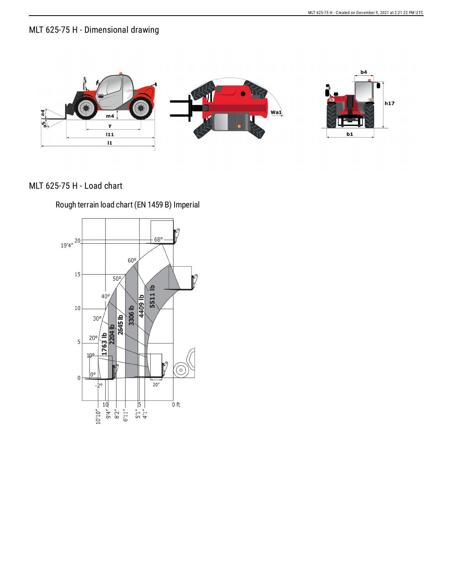## MLT 625-75 H - Dimensional drawing



## MLT 625-75 H - Load chart